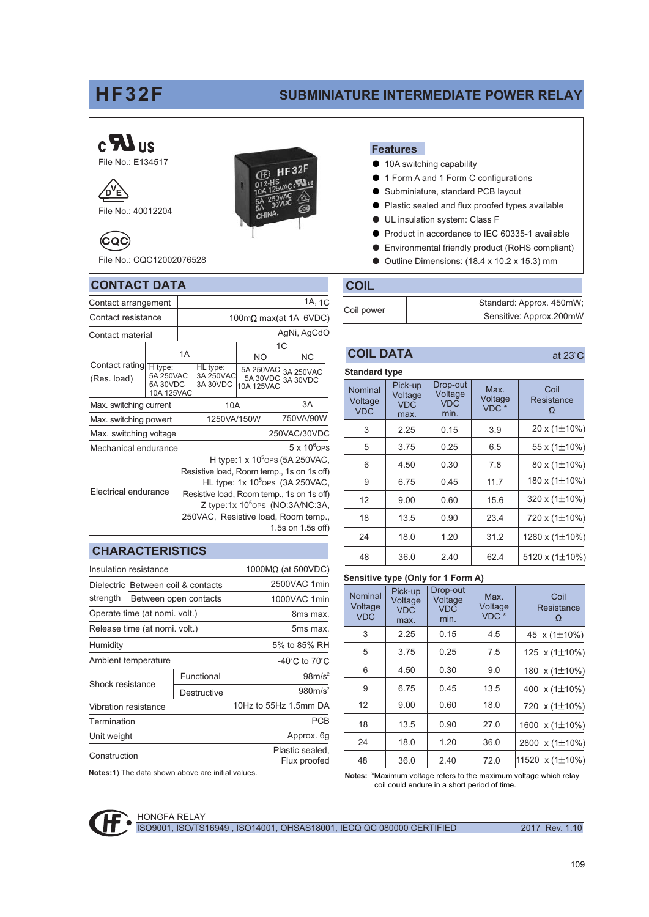## **HF32F**

## **SUBMINIATURE INTERMEDIATE POWER RELAY**

# $c$   $\mathbf{Z}$  us



File No.: 40012204

File No.: CQC12002076528

**CONTACT DATA** 

Contact arrangement

Contact resistance

⁄р

΄,

 $(CQC)$ 



## **Features**

- 10A switching capability
- 1 Form A and 1 Form C configurations  $\bullet$
- Subminiature, standard PCB layout  $\bullet$
- Plastic sealed and flux proofed types available  $\bullet$
- UL insulation system: Class F
- Product in accordance to IEC 60335-1 available  $\bullet$
- Environmental friendly product (RoHS compliant)  $\bullet$
- Outline Dimensions: (18.4 x 10.2 x 15.3) mm  $\bullet$

## **COIL**

1A, 1C

|            | Standard: Approx. 450mW; |
|------------|--------------------------|
| Coil power | Sensitive: Approx.200mW  |

Drop-out

Voltage

Max.

|--|

Nominal

| <b>Standard type</b> |  |
|----------------------|--|
|                      |  |

Pick-up

Voltage

Coil

| Contact resistance                                                              |    | 100mΩ max(at 1A 6VDC)                                                                                                                                                                                                                                                       |                                   |                                            |                       |
|---------------------------------------------------------------------------------|----|-----------------------------------------------------------------------------------------------------------------------------------------------------------------------------------------------------------------------------------------------------------------------------|-----------------------------------|--------------------------------------------|-----------------------|
| Contact material                                                                |    | AgNi, AgCdO                                                                                                                                                                                                                                                                 |                                   |                                            |                       |
|                                                                                 |    |                                                                                                                                                                                                                                                                             | 1C                                |                                            |                       |
|                                                                                 | 1A |                                                                                                                                                                                                                                                                             | NO.                               | <b>NC</b>                                  |                       |
| Contact rating<br>H type:<br>5A 250VAC<br>(Res. load)<br>5A 30VDC<br>10A 125VAC |    |                                                                                                                                                                                                                                                                             | HL type:<br>3A 250VAC<br>3A 30VDC | 5A 250VAC<br>5A 30VDC<br><b>10A 125VAC</b> | 3A 250VAC<br>3A 30VDC |
| Max. switching current                                                          |    | 10A                                                                                                                                                                                                                                                                         |                                   | 3A                                         |                       |
| Max. switching powert                                                           |    | 1250VA/150W                                                                                                                                                                                                                                                                 |                                   | 750VA/90W                                  |                       |
| Max. switching voltage                                                          |    |                                                                                                                                                                                                                                                                             |                                   |                                            | 250VAC/30VDC          |
| Mechanical endurance                                                            |    |                                                                                                                                                                                                                                                                             |                                   |                                            | $5 \times 10^6$ OPS   |
| Electrical endurance                                                            |    | H type:1 x $105$ ops (5A 250VAC,<br>Resistive load, Room temp., 1s on 1s off)<br>HL type: $1x 10^5$ OPS (3A 250VAC,<br>Resistive load, Room temp., 1s on 1s off)<br>Z type:1x 10 <sup>5</sup> OPS (NO:3A/NC:3A,<br>250VAC, Resistive load, Room temp.,<br>1.5s on 1.5s off) |                                   |                                            |                       |

## **CHARACTERISTICS**

|                                    | Insulation resistance         | $1000M\Omega$ (at 500VDC) |                                     |
|------------------------------------|-------------------------------|---------------------------|-------------------------------------|
| Dielectric Between coil & contacts |                               |                           | 2500VAC 1min                        |
| strength                           |                               | Between open contacts     | 1000VAC 1min                        |
|                                    | Operate time (at nomi. volt.) |                           | 8ms max.                            |
| Release time (at nomi. volt.)      |                               |                           | 5ms max.                            |
| Humidity                           |                               |                           | 5% to 85% RH                        |
| Ambient temperature                |                               |                           | -40 $^{\circ}$ C to 70 $^{\circ}$ C |
| Shock resistance                   |                               | Functional                | $98m/s^2$                           |
|                                    |                               | Destructive               | 980m/s <sup>2</sup>                 |
| Vibration resistance               |                               |                           | 10Hz to 55Hz 1.5mm DA               |
| Termination                        |                               |                           | <b>PCB</b>                          |
| Unit weight                        |                               |                           | Approx. 6g                          |
| Construction                       |                               |                           | Plastic sealed,<br>Flux proofed     |
|                                    |                               |                           |                                     |

| 1 1 Y 2 1 1 1 1 1 1 1 1 1<br>Voltage<br><b>VDC</b> | Voltage<br><b>VDC</b><br>max. | Voltage<br><b>VDC</b><br>min. | Voltage<br>VDC <sup>*</sup> | Resistance<br>Ω |
|----------------------------------------------------|-------------------------------|-------------------------------|-----------------------------|-----------------|
| 3                                                  | 2.25                          | 0.15                          | 3.9                         | 20 x (1±10%)    |
| 5                                                  | 3.75                          | 0.25                          | 6.5                         | 55 x (1±10%)    |
| 6                                                  | 4.50                          | 0.30                          | 7.8                         | 80 x (1±10%)    |
| 9                                                  | 6.75                          | 0.45                          | 11.7                        | 180 x (1±10%)   |
| 12                                                 | 9.00                          | 0.60                          | 15.6                        | 320 x (1±10%)   |
| 18                                                 | 13.5                          | 0.90                          | 23.4                        | 720 x (1±10%)   |
| 24                                                 | 18.0                          | 1.20                          | 31.2                        | 1280 x (1±10%   |
| 48                                                 | 36.0                          | 2.40                          | 62.4                        | 5120 x (1±10%   |
|                                                    |                               |                               |                             |                 |

## Sensitive type (Only for 1 Form A)

| Nominal<br>Voltage<br><b>VDC</b> | Pick-up<br>Voltage<br><b>VDC</b><br>max. | Drop-out<br>Voltage<br><b>VDC</b><br>min. | Max.<br>Voltage<br>VDC <sup>*</sup> | Coil<br>Resistance<br>Ω |
|----------------------------------|------------------------------------------|-------------------------------------------|-------------------------------------|-------------------------|
| 3                                | 2.25                                     | 0.15                                      | 4.5                                 | 45 x (1±10%)            |
| 5                                | 3.75                                     | 0.25                                      | 7.5                                 | 125 $x(1\pm10\%)$       |
| 6                                | 4.50                                     | 0.30                                      | 9.0                                 | 180 x (1±10%)           |
| 9                                | 6.75                                     | 0.45                                      | 13.5                                | 400 x (1±10%)           |
| 12                               | 9.00                                     | 0.60                                      | 18.0                                | 720 x (1±10%)           |
| 18                               | 13.5                                     | 0.90                                      | 27.0                                | 1600 x (1±10%)          |
| 24                               | 18.0                                     | 1.20                                      | 36.0                                | 2800 x (1±10%)          |
| 48                               | 36.0                                     | 2.40                                      | 72.0                                | 11520 $\times$ (1±10%)  |

Notes:1) The data shown above are initial values.

Notes: \*Maximum voltage refers to the maximum voltage which relay coil could endure in a short period of time.



**HONGFA RELAY** ISO9001, ISO/TS16949, ISO14001, OHSAS18001, IECQ QC 080000 CERTIFIED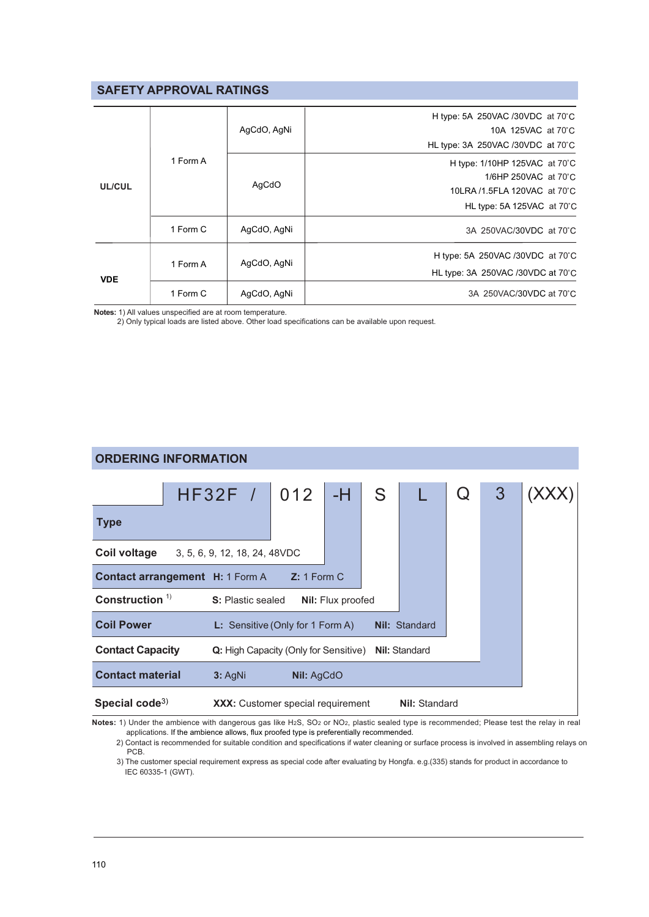## **SAFETY APPROVAL RATINGS**

| UL/CUL     |          | AgCdO, AgNi | H type: 5A 250VAC /30VDC at $70^{\circ}$ C<br>10A 125VAC at 70°C<br>HL type: 3A 250VAC /30VDC at 70°C |
|------------|----------|-------------|-------------------------------------------------------------------------------------------------------|
|            | 1 Form A | AgCdO       | H type: 1/10HP 125VAC at 70°C                                                                         |
|            |          |             | 1/6HP 250VAC at 70°C                                                                                  |
|            |          |             | 10LRA /1.5FLA 120VAC at 70°C                                                                          |
|            |          |             | HL type: 5A 125VAC at 70°C                                                                            |
|            | 1 Form C | AgCdO, AgNi | 3A 250VAC/30VDC at 70°C                                                                               |
| <b>VDE</b> | 1 Form A | AgCdO, AgNi | H type: 5A 250VAC /30VDC at 70 C                                                                      |
|            |          |             | HL type: 3A 250VAC /30VDC at 70°C                                                                     |
|            | 1 Form C | AgCdO, AgNi | 3A 250VAC/30VDC at 70°C                                                                               |
|            |          |             |                                                                                                       |

Notes: 1) All values unspecified are at room temperature.

2) Only typical loads are listed above. Other load specifications can be available upon request.

#### **ORDERING INFORMATION**  $HF32F /$ 012  $-H$  $\overline{3}$ (XXX) S  $\Omega$ L **Type Coil voltage** 3, 5, 6, 9, 12, 18, 24, 48VDC Contact arrangement H: 1 Form A Z: 1 Form C Construction<sup>1)</sup> S: Plastic sealed Nil: Flux proofed **Coil Power** L: Sensitive (Only for 1 Form A) Nil: Standard **Contact Capacity** Q: High Capacity (Only for Sensitive) Nil: Standard **Contact material** 3: AgNi Nil: AqCdO Special code<sup>3)</sup> **XXX:** Customer special requirement **Nil: Standard**

Notes: 1) Under the ambience with dangerous gas like H2S, SO2 or NO2, plastic sealed type is recommended; Please test the relay in real applications. If the ambience allows, flux proofed type is preferentially recommended.

2) Contact is recommended for suitable condition and specifications if water cleaning or surface process is involved in assembling relays on PCB.

3) The customer special requirement express as special code after evaluating by Hongfa. e.g.(335) stands for product in accordance to IEC 60335-1 (GWT).